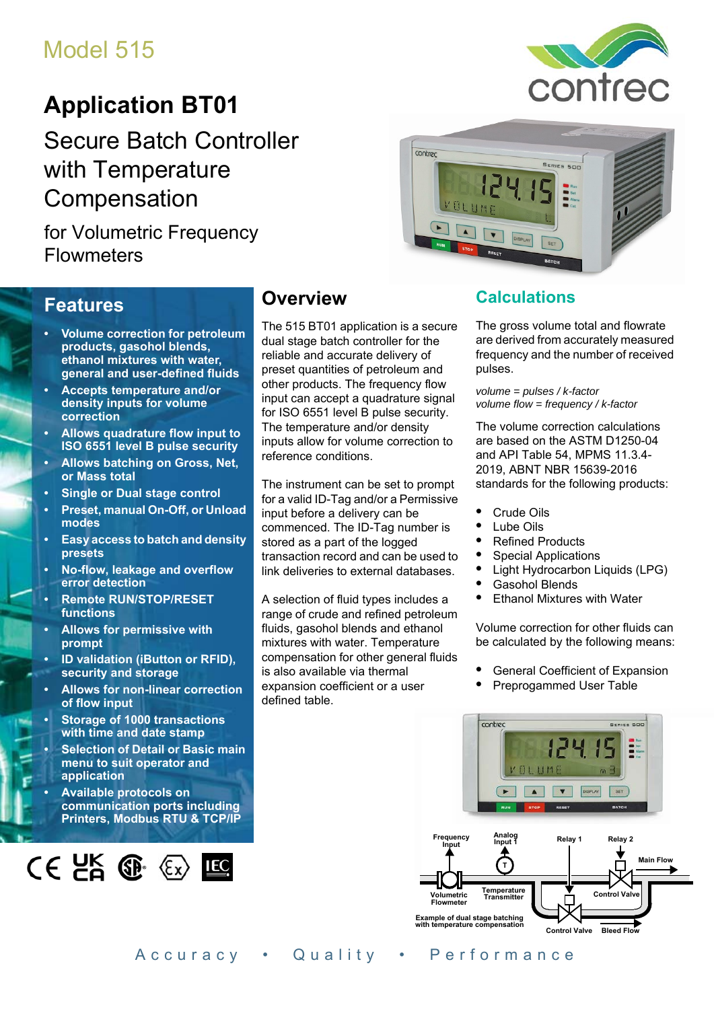# Model 515

# **Application BT01**

Secure Batch Controller with Temperature Compensation

for Volumetric Frequency **Flowmeters** 



### **Features**

- **Volume correction for petroleum products, gasohol blends, ethanol mixtures with water, general and user-defined fluids**
- **Accepts temperature and/or density inputs for volume correction**
- **Allows quadrature flow input to ISO 6551 level B pulse security**
- **Allows batching on Gross, Net, or Mass total**
- **Single or Dual stage control**
- **Preset, manual On-Off, or Unload modes**
- **Easy access to batch and density presets**
- **No-flow, leakage and overflow error detection**
- **Remote RUN/STOP/RESET functions**
- **Allows for permissive with prompt**
- **ID validation (iButton or RFID), security and storage**
- **Allows for non-linear correction of flow input**
- **Storage of 1000 transactions with time and date stamp**
- **Selection of Detail or Basic main menu to suit operator and application**
- **Available protocols on communication ports including Printers, Modbus RTU & TCP/IP**



## **Overview**

The 515 BT01 application is a secure dual stage batch controller for the reliable and accurate delivery of preset quantities of petroleum and other products. The frequency flow input can accept a quadrature signal for ISO 6551 level B pulse security. The temperature and/or density inputs allow for volume correction to reference conditions.

The instrument can be set to prompt for a valid ID-Tag and/or a Permissive input before a delivery can be commenced. The ID-Tag number is stored as a part of the logged transaction record and can be used to link deliveries to external databases.

A selection of fluid types includes a range of crude and refined petroleum fluids, gasohol blends and ethanol mixtures with water. Temperature compensation for other general fluids is also available via thermal expansion coefficient or a user defined table.

### **Calculations**

The gross volume total and flowrate are derived from accurately measured frequency and the number of received pulses.

*volume = pulses / k-factor volume flow = frequency / k-factor*

The volume correction calculations are based on the ASTM D1250-04 and API Table 54, MPMS 11.3.4-2019, ABNT NBR 15639-2016 standards for the following products:

- **•** Crude Oils
- **•** Lube Oils
- **•** Refined Products
- **•** Special Applications
- **•** Light Hydrocarbon Liquids (LPG)
- **•** Gasohol Blends
- **•** Ethanol Mixtures with Water

Volume correction for other fluids can be calculated by the following means:

- **•** General Coefficient of Expansion
- **•** Preprogammed User Table

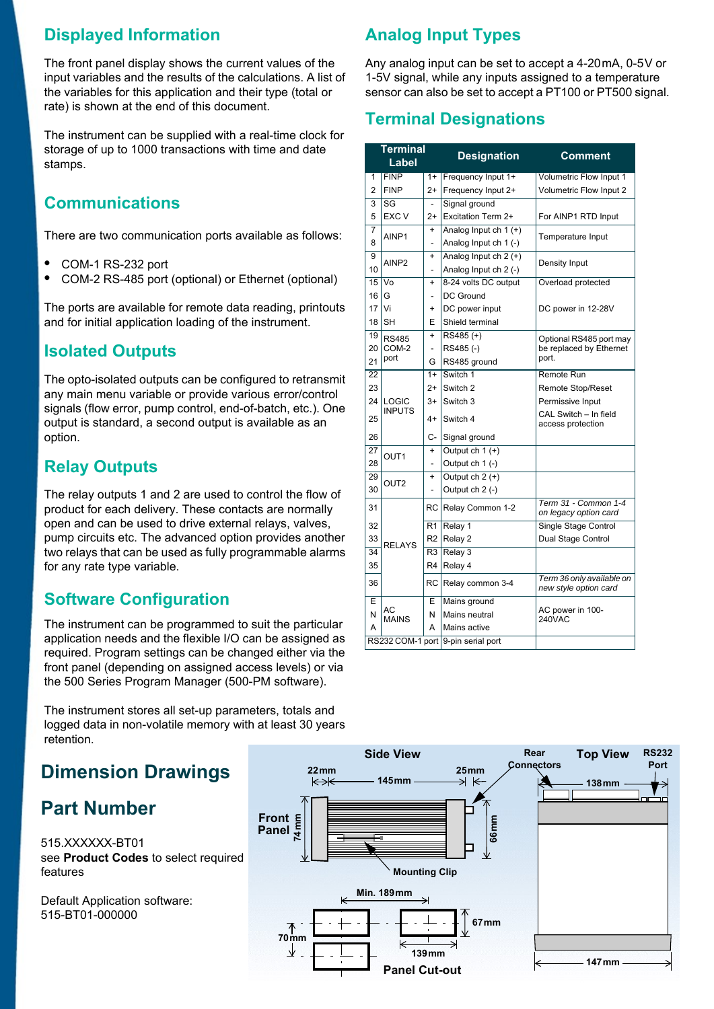### **Displayed Information**

The front panel display shows the current values of the input variables and the results of the calculations. A list of the variables for this application and their type (total or rate) is shown at the end of this document.

The instrument can be supplied with a real-time clock for storage of up to 1000 transactions with time and date stamps.

### **Communications**

There are two communication ports available as follows:

- **•** COM-1 RS-232 port
- **•** COM-2 RS-485 port (optional) or Ethernet (optional)

The ports are available for remote data reading, printouts and for initial application loading of the instrument.

### **Isolated Outputs**

The opto-isolated outputs can be configured to retransmit any main menu variable or provide various error/control signals (flow error, pump control, end-of-batch, etc.). One output is standard, a second output is available as an option.

### **Relay Outputs**

The relay outputs 1 and 2 are used to control the flow of product for each delivery. These contacts are normally open and can be used to drive external relays, valves, pump circuits etc. The advanced option provides another two relays that can be used as fully programmable alarms for any rate type variable.

### **Software Configuration**

The instrument can be programmed to suit the particular application needs and the flexible I/O can be assigned as required. Program settings can be changed either via the front panel (depending on assigned access levels) or via the 500 Series Program Manager (500-PM software).

The instrument stores all set-up parameters, totals and logged data in non-volatile memory with at least 30 years retention.

## **Dimension Drawings**

## **Part Number**

515.XXXXXX-BT01 see **[Product Codes](#page-3-0)** to select required features

Default Application software: 515-BT01-000000

## **Analog Input Types**

Any analog input can be set to accept a 4-20 mA, 0-5 V or 1-5V signal, while any inputs assigned to a temperature sensor can also be set to accept a PT100 or PT500 signal.

### **Terminal Designations**

| <b>Terminal</b><br>Label           |                    |                | <b>Designation</b>      | <b>Comment</b>                                     |  |
|------------------------------------|--------------------|----------------|-------------------------|----------------------------------------------------|--|
| 1                                  | <b>FINP</b>        | $1+$           | Frequency Input 1+      | Volumetric Flow Input 1                            |  |
| $\mathfrak{p}$                     | <b>FINP</b>        | $2+$           | Frequency Input 2+      | Volumetric Flow Input 2                            |  |
| 3                                  | SG                 |                | Signal ground           |                                                    |  |
| 5                                  | EXC V              | $2+$           | Excitation Term 2+      | For AINP1 RTD Input                                |  |
| $\overline{7}$                     | AINP1              | $+$            | Analog Input ch $1 (+)$ | Temperature Input                                  |  |
| 8                                  |                    | $\overline{a}$ | Analog Input ch 1 (-)   |                                                    |  |
| 9                                  | AINP <sub>2</sub>  | $\ddot{}$      | Analog Input ch 2 (+)   | Density Input                                      |  |
| 10                                 |                    |                | Analog Input ch 2 (-)   |                                                    |  |
| 15                                 | Vo                 | $\ddot{}$      | 8-24 volts DC output    | Overload protected                                 |  |
| 16                                 | G                  | $\overline{a}$ | <b>DC Ground</b>        |                                                    |  |
| 17                                 | Vi                 | $\ddot{}$      | DC power input          | DC power in 12-28V                                 |  |
| 18                                 | <b>SH</b>          | Е              | Shield terminal         |                                                    |  |
| 19                                 | <b>RS485</b>       | $\ddot{}$      | $\overline{RS485}(+)$   | Optional RS485 port may                            |  |
| 20                                 | COM-2              | $\overline{a}$ | RS485(-)                | be replaced by Ethernet                            |  |
| 21                                 | port               | G              | RS485 ground            | port.                                              |  |
| 22                                 |                    | $1+$           | Switch 1                | Remote Run                                         |  |
| 23                                 |                    | $2+$           | Switch <sub>2</sub>     | <b>Remote Stop/Reset</b>                           |  |
| 24                                 | LOGIC              | $3+$           | Switch 3                | Permissive Input                                   |  |
| 25                                 | <b>INPUTS</b>      | 4+             | Switch 4                | CAL Switch - In field<br>access protection         |  |
| 26                                 |                    | C-             | Signal ground           |                                                    |  |
| 27                                 | OUT1               | $\ddot{}$      | Output $ch 1 (+)$       |                                                    |  |
| 28                                 |                    |                | Output ch 1 (-)         |                                                    |  |
| 29                                 | OUT <sub>2</sub>   | $\ddot{}$      | Output $ch 2 (+)$       |                                                    |  |
| 30                                 |                    |                | Output ch 2 (-)         |                                                    |  |
| 31                                 |                    | <b>RC</b>      | Relay Common 1-2        | Term 31 - Common 1-4<br>on legacy option card      |  |
| 32                                 |                    | R1             | Relay <sub>1</sub>      | Single Stage Control                               |  |
| 33                                 | <b>RELAYS</b>      | R <sub>2</sub> | Relay 2                 | Dual Stage Control                                 |  |
| 34                                 |                    | R3             | Relay 3                 |                                                    |  |
| 35                                 |                    | R4             | Relay 4                 |                                                    |  |
| 36                                 | RC                 |                | Relay common 3-4        | Term 36 only available on<br>new style option card |  |
| E                                  |                    | E              | Mains ground            |                                                    |  |
| N                                  | AC<br><b>MAINS</b> | N              | Mains neutral           | AC power in 100-<br>240VAC                         |  |
| A                                  |                    | A              | Mains active            |                                                    |  |
| RS232 COM-1 port 9-pin serial port |                    |                |                         |                                                    |  |

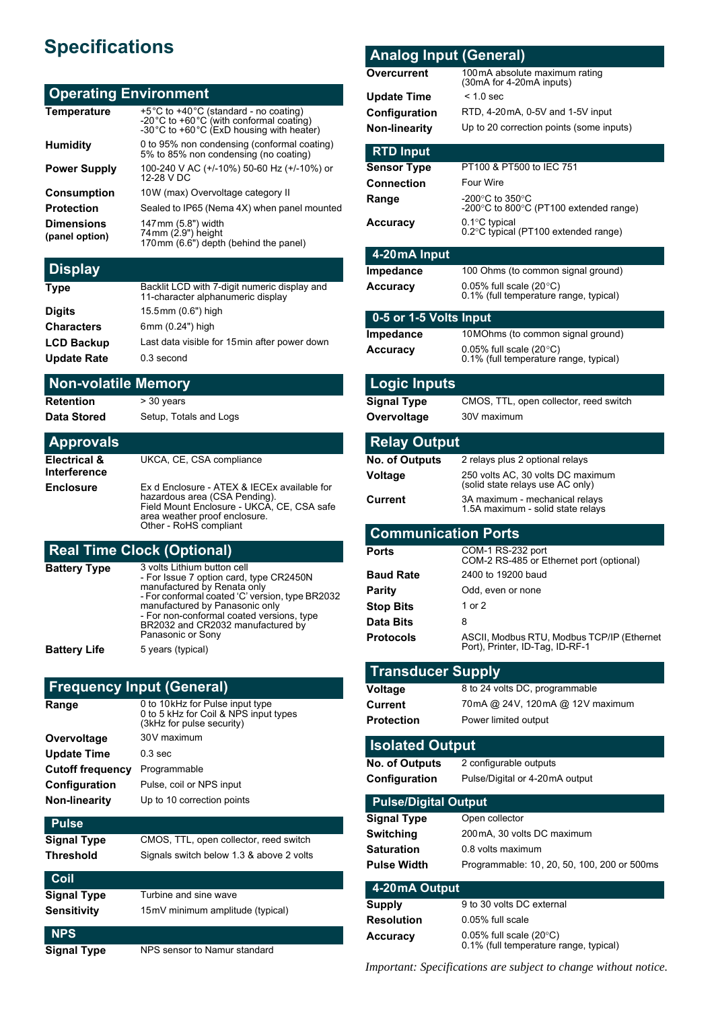# **Specifications**

### **Operating Environment**

| <b>Temperature</b>                  | +5°C to +40°C (standard - no coating)<br>-20°C to +60°C (with conformal coating)<br>-30°C to +60°C (ExD housing with heater) |
|-------------------------------------|------------------------------------------------------------------------------------------------------------------------------|
| <b>Humidity</b>                     | 0 to 95% non condensing (conformal coating)<br>5% to 85% non condensing (no coating)                                         |
| <b>Power Supply</b>                 | 100-240 V AC (+/-10%) 50-60 Hz (+/-10%) or<br>12-28 V DC                                                                     |
| <b>Consumption</b>                  | 10W (max) Overvoltage category II                                                                                            |
| <b>Protection</b>                   | Sealed to IP65 (Nema 4X) when panel mounted                                                                                  |
| <b>Dimensions</b><br>(panel option) | 147mm (5.8") width<br>74mm (2.9") height<br>170mm (6.6") depth (behind the panel)                                            |

### **Display**

| <b>Type</b>        | Backlit LCD with 7-digit numeric display and<br>11-character alphanumeric display |
|--------------------|-----------------------------------------------------------------------------------|
| <b>Digits</b>      | 15.5mm (0.6") high                                                                |
| <b>Characters</b>  | 6mm (0.24") high                                                                  |
| <b>LCD Backup</b>  | Last data visible for 15 min after power down                                     |
| <b>Update Rate</b> | 0.3 second                                                                        |

#### **Non-volatile Memory**

**Retention** > 30 years

**Data Stored** Setup, Totals and Logs

#### **Approvals Electrical & Interference** UKCA, CE, CSA compliance **Enclosure** Ex d Enclosure - ATEX & IECEx available for hazardous area (CSA Pending). Field Mount Enclosure - UKCA, CE, CSA safe area weather proof enclosure. Other - RoHS compliant

### **Real Time Clock (Optional)**

| <b>Battery Type</b> | 3 volts Lithium button cell<br>- For Issue 7 option card, type CR2450N<br>manufactured by Renata only<br>- For conformal coated 'C' version, type BR2032<br>manufactured by Panasonic only<br>- For non-conformal coated versions, type<br>BR2032 and CR2032 manufactured by<br>Panasonic or Sony |
|---------------------|---------------------------------------------------------------------------------------------------------------------------------------------------------------------------------------------------------------------------------------------------------------------------------------------------|
| <b>Battery Life</b> | 5 years (typical)                                                                                                                                                                                                                                                                                 |

#### **Frequency Input (General)**

| Range                   | 0 to 10kHz for Pulse input type<br>0 to 5 kHz for Coil & NPS input types<br>(3kHz for pulse security) |
|-------------------------|-------------------------------------------------------------------------------------------------------|
| Overvoltage             | 30V maximum                                                                                           |
| <b>Update Time</b>      | $0.3$ sec                                                                                             |
| <b>Cutoff frequency</b> | Programmable                                                                                          |
| Configuration           | Pulse, coil or NPS input                                                                              |
| <b>Non-linearity</b>    | Up to 10 correction points                                                                            |
| Pulse                   |                                                                                                       |

#### **Signal Type** CMOS, TTL, open collector, reed switch **Threshold** Signals switch below 1.3 & above 2 volts **Coil Signal Type** Turbine and sine wave **Sensitivity** 15mV minimum amplitude (typical)

| <b>NPS</b> |  |  |
|------------|--|--|

**Signal Type** NPS sensor to Namur standard

| <b>Analog Input (General)</b>          |                                                                            |
|----------------------------------------|----------------------------------------------------------------------------|
| Overcurrent                            | 100mA absolute maximum rating<br>(30mA for 4-20mA inputs)                  |
| <b>Update Time</b>                     | $< 1.0$ sec                                                                |
| Configuration                          | RTD, 4-20mA, 0-5V and 1-5V input                                           |
| Non-linearity                          | Up to 20 correction points (some inputs)                                   |
|                                        |                                                                            |
| <b>RTD Input</b><br><b>Sensor Type</b> | PT100 & PT500 to IEC 751                                                   |
| <b>Connection</b>                      | <b>Four Wire</b>                                                           |
| Range                                  | -200 $^{\circ}$ C to 350 $^{\circ}$ C                                      |
|                                        | -200 $\degree$ C to 800 $\degree$ C (PT100 extended range)                 |
| <b>Accuracy</b>                        | 0.1°C typical<br>0.2°C typical (PT100 extended range)                      |
| 4-20 mA Input                          |                                                                            |
| <b>Impedance</b>                       | 100 Ohms (to common signal ground)                                         |
| <b>Accuracy</b>                        | 0.05% full scale $(20^{\circ}C)$<br>0.1% (full temperature range, typical) |
| 0-5 or 1-5 Volts Input                 |                                                                            |
| Impedance                              | 10 MOhms (to common signal ground)                                         |
| Accuracy                               | 0.05% full scale $(20^{\circ}C)$                                           |
|                                        | 0.1% (full temperature range, typical)                                     |
| <b>Logic Inputs</b>                    |                                                                            |
| <b>Signal Type</b>                     | CMOS, TTL, open collector, reed switch                                     |
| Overvoltage                            | 30V maximum                                                                |
| <b>Relay Output</b>                    |                                                                            |
| <b>No. of Outputs</b>                  | 2 relays plus 2 optional relays                                            |
| Voltage                                | 250 volts AC, 30 volts DC maximum                                          |
| Current                                | (solid state relays use AC only)<br>3A maximum - mechanical relays         |
|                                        | 1.5A maximum - solid state relays                                          |
| <b>Communication Ports</b>             |                                                                            |
| Ports                                  | COM-1 RS-232 port                                                          |
|                                        | COM-2 RS-485 or Ethernet port (optional)                                   |
| <b>Baud Rate</b>                       | 2400 to 19200 baud                                                         |
| <b>Parity</b><br><b>Stop Bits</b>      | Odd, even or none<br>1 or 2                                                |
| Data Bits                              | 8                                                                          |
| <b>Protocols</b>                       | ASCII, Modbus RTU, Modbus TCP/IP (Ethernet                                 |
|                                        | Port), Printer, ID-Tag, ID-RF-1                                            |
| <b>Transducer Supply</b>               |                                                                            |
| <b>Voltage</b>                         | 8 to 24 volts DC, programmable                                             |
| Current                                | 70mA @ 24V, 120mA @ 12V maximum                                            |
| <b>Protection</b>                      | Power limited output                                                       |
| <b>Isolated Output</b>                 |                                                                            |
| <b>No. of Outputs</b>                  | 2 configurable outputs                                                     |
| Configuration                          | Pulse/Digital or 4-20mA output                                             |
| <b>Pulse/Digital Output</b>            |                                                                            |
| <b>Signal Type</b>                     | Open collector                                                             |
| Switching                              | 200mA, 30 volts DC maximum                                                 |
| Saturation<br><b>Pulse Width</b>       | 0.8 volts maximum<br>Programmable: 10, 20, 50, 100, 200 or 500ms           |
|                                        |                                                                            |
| 4-20 mA Output                         |                                                                            |
| <b>Supply</b>                          | 9 to 30 volts DC external                                                  |
| Resolution                             | $0.05\%$ full scale                                                        |
| Accuracy                               | $0.05\%$ full scale (20°C)<br>0.1% (full temperature range, typical)       |

*Important: Specifications are subject to change without notice.*